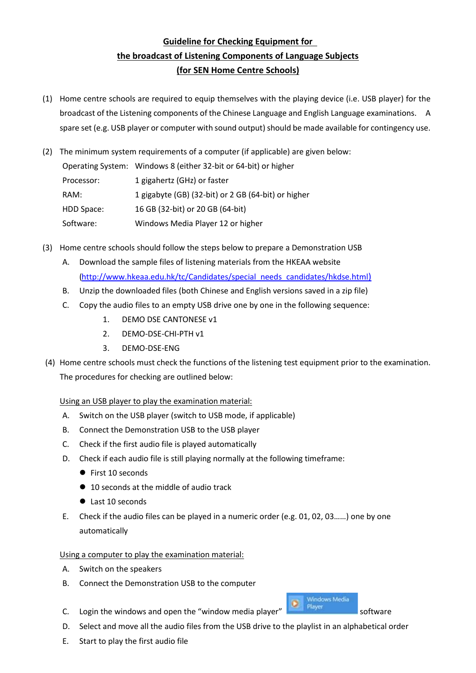## **Guideline for Checking Equipment for the broadcast of Listening Components of Language Subjects (for SEN Home Centre Schools)**

- (1) Home centre schools are required to equip themselves with the playing device (i.e. USB player) for the broadcast of the Listening components of the Chinese Language and English Language examinations. A spare set (e.g. USB player or computer with sound output) should be made available for contingency use.
- (2) The minimum system requirements of a computer (if applicable) are given below:

Operating System: Windows 8 (either 32-bit or 64-bit) or higher Processor: 1 gigahertz (GHz) or faster RAM: 1 gigabyte (GB) (32-bit) or 2 GB (64-bit) or higher HDD Space: 16 GB (32-bit) or 20 GB (64-bit) Software: Windows Media Player 12 or higher

- (3) Home centre schools should follow the steps below to prepare a Demonstration USB
	- A. Download the sample files of listening materials from the HKEAA website [\(http://www.hkeaa.edu.hk/tc/Candidates/special\\_needs\\_candidates/hkdse.html](http://www.hkeaa.edu.hk/tc/Candidates/special_needs_candidates/hkdse.html))
	- B. Unzip the downloaded files (both Chinese and English versions saved in a zip file)
	- C. Copy the audio files to an empty USB drive one by one in the following sequence:
		- 1. DEMO DSE CANTONESE v1
		- 2. DEMO-DSE-CHI-PTH v1
		- 3. DEMO-DSE-ENG
- (4) Home centre schools must check the functions of the listening test equipment prior to the examination. The procedures for checking are outlined below:

## Using an USB player to play the examination material:

- A. Switch on the USB player (switch to USB mode, if applicable)
- B. Connect the Demonstration USB to the USB player
- C. Check if the first audio file is played automatically
- D. Check if each audio file is still playing normally at the following timeframe:
	- First 10 seconds
	- 10 seconds at the middle of audio track
	- Last 10 seconds
- E. Check if the audio files can be played in a numeric order (e.g. 01, 02, 03……) one by one automatically

## Using a computer to play the examination material:

- A. Switch on the speakers
- B. Connect the Demonstration USB to the computer
- C. Login the windows and open the "window media player"  $\frac{1}{\sqrt{2\pi}}$  software
- D. Select and move all the audio files from the USB drive to the playlist in an alphabetical order
- E. Start to play the first audio file